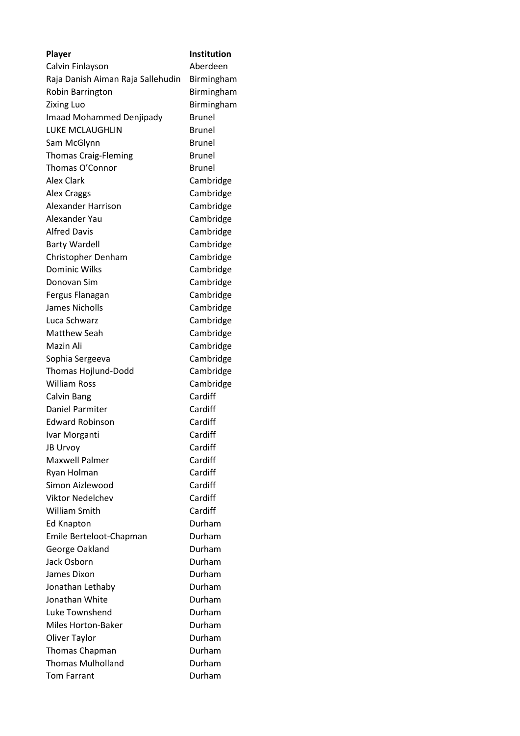| Player                            | <b>Institution</b> |
|-----------------------------------|--------------------|
| Calvin Finlayson                  | Aberdeen           |
| Raja Danish Aiman Raja Sallehudin | Birmingham         |
| Robin Barrington                  | Birmingham         |
| <b>Zixing Luo</b>                 | Birmingham         |
| Imaad Mohammed Denjipady          | <b>Brunel</b>      |
| <b>LUKE MCLAUGHLIN</b>            | <b>Brunel</b>      |
| Sam McGlynn                       | <b>Brunel</b>      |
| <b>Thomas Craig-Fleming</b>       | <b>Brunel</b>      |
| Thomas O'Connor                   | <b>Brunel</b>      |
| <b>Alex Clark</b>                 | Cambridge          |
| <b>Alex Craggs</b>                | Cambridge          |
| Alexander Harrison                | Cambridge          |
| Alexander Yau                     | Cambridge          |
| <b>Alfred Davis</b>               | Cambridge          |
| <b>Barty Wardell</b>              | Cambridge          |
| Christopher Denham                | Cambridge          |
| <b>Dominic Wilks</b>              | Cambridge          |
| Donovan Sim                       | Cambridge          |
| Fergus Flanagan                   | Cambridge          |
| James Nicholls                    | Cambridge          |
| Luca Schwarz                      | Cambridge          |
| Matthew Seah                      | Cambridge          |
| Mazin Ali                         | Cambridge          |
| Sophia Sergeeva                   | Cambridge          |
| Thomas Hojlund-Dodd               | Cambridge          |
| <b>William Ross</b>               | Cambridge          |
| Calvin Bang                       | Cardiff            |
| Daniel Parmiter                   | Cardiff            |
| <b>Edward Robinson</b>            | Cardiff            |
| Ivar Morganti                     | Cardiff            |
| <b>JB Urvoy</b>                   | Cardiff            |
| <b>Maxwell Palmer</b>             | Cardiff            |
| Ryan Holman                       | Cardiff            |
| Simon Aizlewood                   | Cardiff            |
| <b>Viktor Nedelchev</b>           | Cardiff            |
| <b>William Smith</b>              | Cardiff            |
| Ed Knapton                        | Durham             |
| Emile Berteloot-Chapman           | Durham             |
| George Oakland                    | Durham             |
| Jack Osborn                       | Durham             |
| James Dixon                       | Durham             |
| Jonathan Lethaby                  | Durham             |
| Jonathan White                    | Durham             |
| Luke Townshend                    | Durham             |
| <b>Miles Horton-Baker</b>         | Durham             |
| Oliver Taylor                     | Durham             |
| <b>Thomas Chapman</b>             | Durham             |
| <b>Thomas Mulholland</b>          | Durham             |
| <b>Tom Farrant</b>                | Durham             |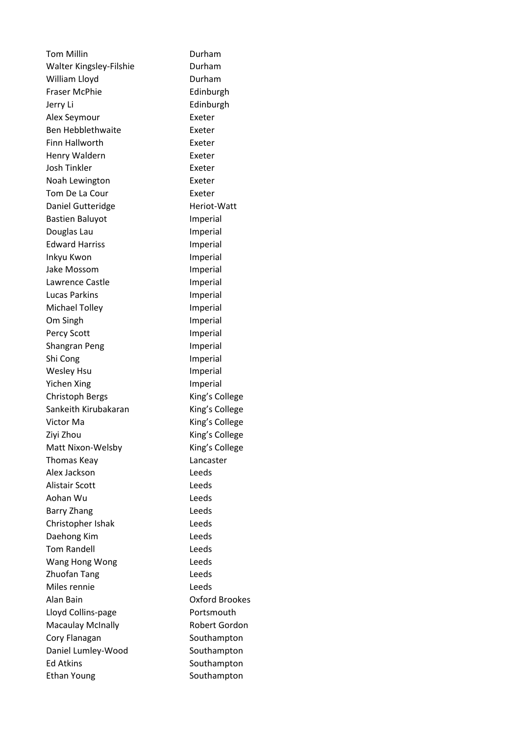Tom Millin **Durham** Walter Kingsley-Filshie **Durham** William Lloyd **Durham** Fraser McPhie **Edinburgh** Jerry Li Edinburgh Alex Seymour **Exeter** Ben Hebblethwaite **Exeter** Finn Hallworth Exeter Henry Waldern **Exeter** Josh Tinkler Exeter Noah Lewington Exeter Tom De La Cour **Exeter** Daniel Gutteridge **Heriot-Watt** Bastien Baluyot **Imperial** Douglas Lau **Imperial** Edward Harriss **Imperial** Inkyu Kwon **Imperial** Jake Mossom **Imperial** Lawrence Castle **Imperial** Lucas Parkins **Imperial** Michael Tolley **Imperial** Om Singh **Imperial** Percy Scott Imperial Shangran Peng Imperial Shi Cong Imperial Wesley Hsu **Imperial** Yichen Xing **Imperial** Christoph Bergs King's College Sankeith Kirubakaran King's College Victor Ma **King's College** Ziyi Zhou **King's College** Matt Nixon-Welsby King's College Thomas Keay Lancaster Alex Jackson Leeds Alistair Scott **Leeds** Aohan Wu Leeds Barry Zhang **Leeds** Christopher Ishak Leeds Daehong Kim Leeds Tom Randell **Leeds** Wang Hong Wong Leeds Zhuofan Tang Leeds Miles rennie Leeds Alan Bain Oxford Brookes Lloyd Collins-page Portsmouth Macaulay McInally **Robert Gordon** Cory Flanagan Southampton Daniel Lumley-Wood Southampton Ed Atkins Southampton Ethan Young Southampton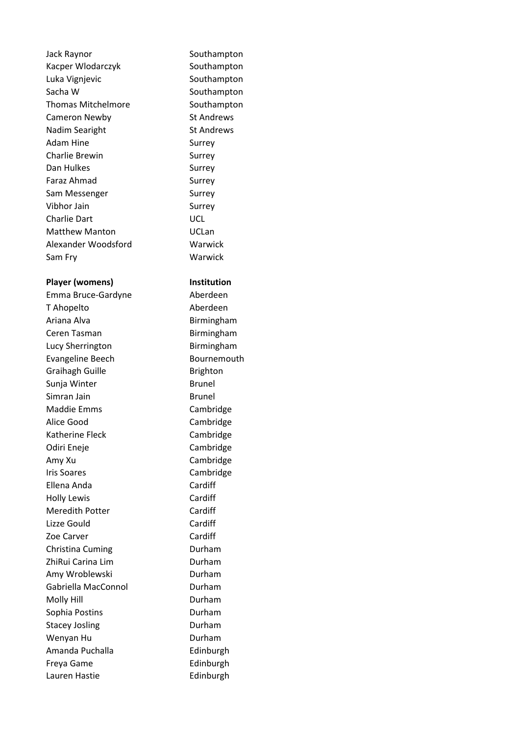Jack Raynor **Southampton** Kacper Wlodarczyk Southampton Luka Vignjevic **Southampton** Sacha W Southampton Thomas Mitchelmore **Southampton** Cameron Newby St Andrews Nadim Searight St Andrews Adam Hine Surrey Charlie Brewin Surrey Dan Hulkes Surrey Faraz Ahmad Surrey Sam Messenger Surrey Vibhor Jain Surrey Charlie Dart UCL Matthew Manton **Internal Control** UCLan Alexander Woodsford Warwick Sam Fry Warwick

## Player (womens) **Institution**

Emma Bruce-Gardyne Aberdeen T Ahopelto Aberdeen Ariana Alva **Birmingham** Ceren Tasman Birmingham Lucy Sherrington Birmingham Evangeline Beech Bournemouth Graihagh Guille **Brighton** Sunja Winter **Brunel** Simran Jain Brunel Maddie Emms Cambridge Alice Good Cambridge Katherine Fleck Cambridge Odiri Eneje **Cambridge** Amy Xu Cambridge Iris Soares Cambridge Ellena Anda Cardiff Holly Lewis Cardiff Meredith Potter Cardiff Lizze Gould Cardiff Zoe Carver Cardiff Christina Cuming **Durham** ZhiRui Carina Lim **Durham** Amy Wroblewski **Durham** Gabriella MacConnol **Durham** Molly Hill **Durham** Sophia Postins **Durham** Stacey Josling **Durham** Wenyan Hu **Durham** Amanda Puchalla **Edinburgh** Freya Game **Edinburgh** Lauren Hastie **Edinburgh**